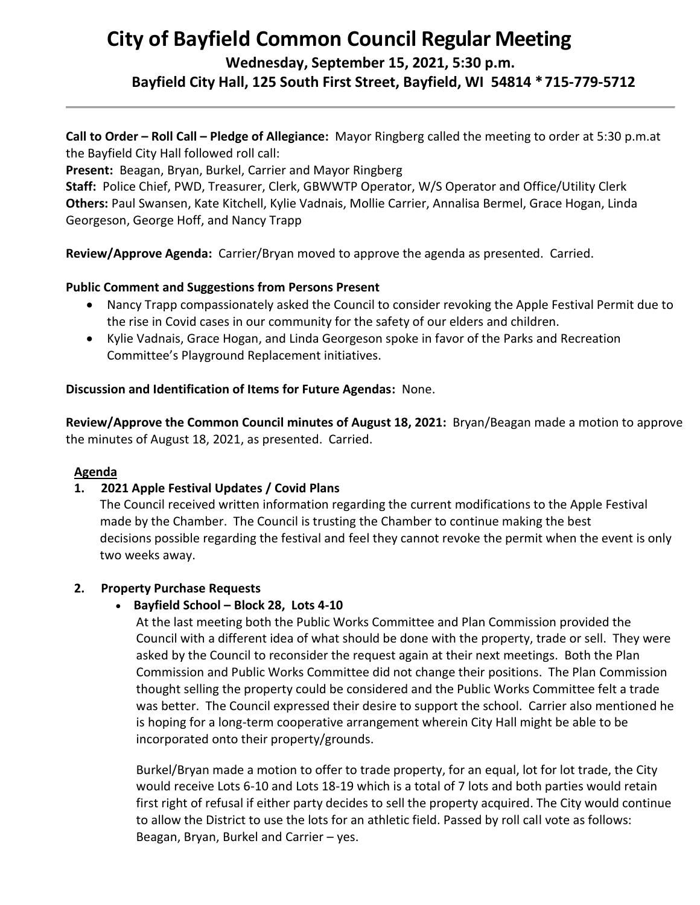# **City of Bayfield Common Council Regular Meeting**

**Wednesday, September 15, 2021, 5:30 p.m.** 

**Bayfield City Hall, 125 South First Street, Bayfield, WI 54814 \*715-779-5712**

**Call to Order – Roll Call – Pledge of Allegiance:** Mayor Ringberg called the meeting to order at 5:30 p.m.at the Bayfield City Hall followed roll call:

**Present:** Beagan, Bryan, Burkel, Carrier and Mayor Ringberg

**Staff:** Police Chief, PWD, Treasurer, Clerk, GBWWTP Operator, W/S Operator and Office/Utility Clerk **Others:** Paul Swansen, Kate Kitchell, Kylie Vadnais, Mollie Carrier, Annalisa Bermel, Grace Hogan, Linda Georgeson, George Hoff, and Nancy Trapp

**Review/Approve Agenda:** Carrier/Bryan moved to approve the agenda as presented. Carried.

## **Public Comment and Suggestions from Persons Present**

- Nancy Trapp compassionately asked the Council to consider revoking the Apple Festival Permit due to the rise in Covid cases in our community for the safety of our elders and children.
- Kylie Vadnais, Grace Hogan, and Linda Georgeson spoke in favor of the Parks and Recreation Committee's Playground Replacement initiatives.

## **Discussion and Identification of Items for Future Agendas:** None.

**Review/Approve the Common Council minutes of August 18, 2021:** Bryan/Beagan made a motion to approve the minutes of August 18, 2021, as presented. Carried.

## **Agenda**

## **1. 2021 Apple Festival Updates / Covid Plans**

 The Council received written information regarding the current modifications to the Apple Festival made by the Chamber. The Council is trusting the Chamber to continue making the best decisions possible regarding the festival and feel they cannot revoke the permit when the event is only two weeks away.

## **2. Property Purchase Requests**

## • **Bayfield School – Block 28, Lots 4-10**

At the last meeting both the Public Works Committee and Plan Commission provided the Council with a different idea of what should be done with the property, trade or sell. They were asked by the Council to reconsider the request again at their next meetings. Both the Plan Commission and Public Works Committee did not change their positions. The Plan Commission thought selling the property could be considered and the Public Works Committee felt a trade was better. The Council expressed their desire to support the school. Carrier also mentioned he is hoping for a long-term cooperative arrangement wherein City Hall might be able to be incorporated onto their property/grounds.

Burkel/Bryan made a motion to offer to trade property, for an equal, lot for lot trade, the City would receive Lots 6-10 and Lots 18-19 which is a total of 7 lots and both parties would retain first right of refusal if either party decides to sell the property acquired. The City would continue to allow the District to use the lots for an athletic field. Passed by roll call vote as follows: Beagan, Bryan, Burkel and Carrier – yes.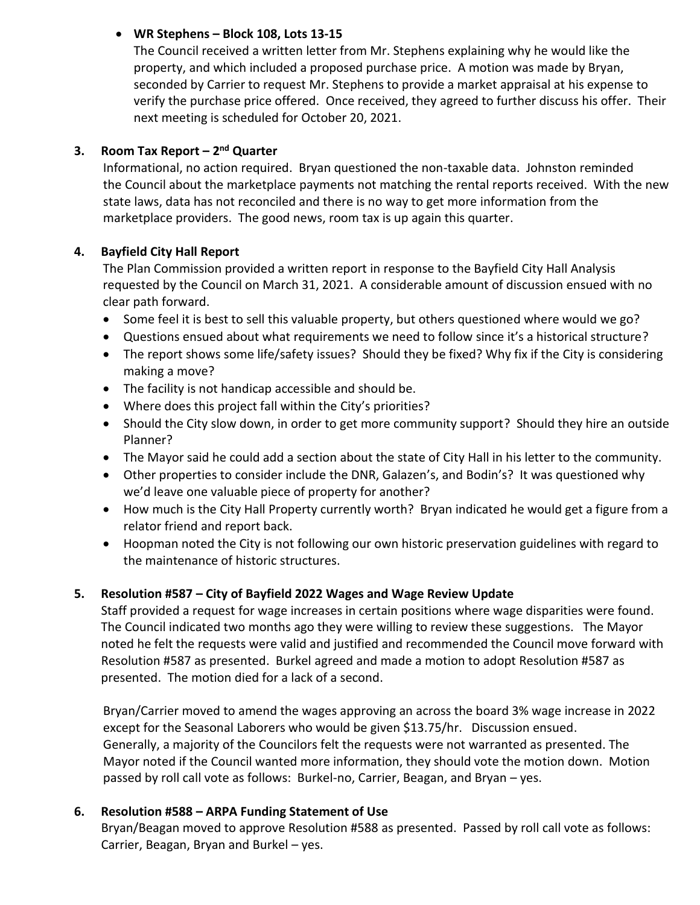## • **WR Stephens – Block 108, Lots 13-15**

The Council received a written letter from Mr. Stephens explaining why he would like the property, and which included a proposed purchase price. A motion was made by Bryan, seconded by Carrier to request Mr. Stephens to provide a market appraisal at his expense to verify the purchase price offered. Once received, they agreed to further discuss his offer. Their next meeting is scheduled for October 20, 2021.

## **3. Room Tax Report – 2 nd Quarter**

 Informational, no action required. Bryan questioned the non-taxable data. Johnston reminded the Council about the marketplace payments not matching the rental reports received. With the new state laws, data has not reconciled and there is no way to get more information from the marketplace providers. The good news, room tax is up again this quarter.

## **4. Bayfield City Hall Report**

The Plan Commission provided a written report in response to the Bayfield City Hall Analysis requested by the Council on March 31, 2021. A considerable amount of discussion ensued with no clear path forward.

- Some feel it is best to sell this valuable property, but others questioned where would we go?
- Questions ensued about what requirements we need to follow since it's a historical structure?
- The report shows some life/safety issues? Should they be fixed? Why fix if the City is considering making a move?
- The facility is not handicap accessible and should be.
- Where does this project fall within the City's priorities?
- Should the City slow down, in order to get more community support? Should they hire an outside Planner?
- The Mayor said he could add a section about the state of City Hall in his letter to the community.
- Other properties to consider include the DNR, Galazen's, and Bodin's? It was questioned why we'd leave one valuable piece of property for another?
- How much is the City Hall Property currently worth? Bryan indicated he would get a figure from a relator friend and report back.
- Hoopman noted the City is not following our own historic preservation guidelines with regard to the maintenance of historic structures.

## **5. Resolution #587 – City of Bayfield 2022 Wages and Wage Review Update**

 Staff provided a request for wage increases in certain positions where wage disparities were found. The Council indicated two months ago they were willing to review these suggestions. The Mayor noted he felt the requests were valid and justified and recommended the Council move forward with Resolution #587 as presented. Burkel agreed and made a motion to adopt Resolution #587 as presented. The motion died for a lack of a second.

 Bryan/Carrier moved to amend the wages approving an across the board 3% wage increase in 2022 except for the Seasonal Laborers who would be given \$13.75/hr. Discussion ensued. Generally, a majority of the Councilors felt the requests were not warranted as presented. The Mayor noted if the Council wanted more information, they should vote the motion down. Motion passed by roll call vote as follows: Burkel-no, Carrier, Beagan, and Bryan – yes.

## **6. Resolution #588 – ARPA Funding Statement of Use**

 Bryan/Beagan moved to approve Resolution #588 as presented. Passed by roll call vote as follows: Carrier, Beagan, Bryan and Burkel – yes.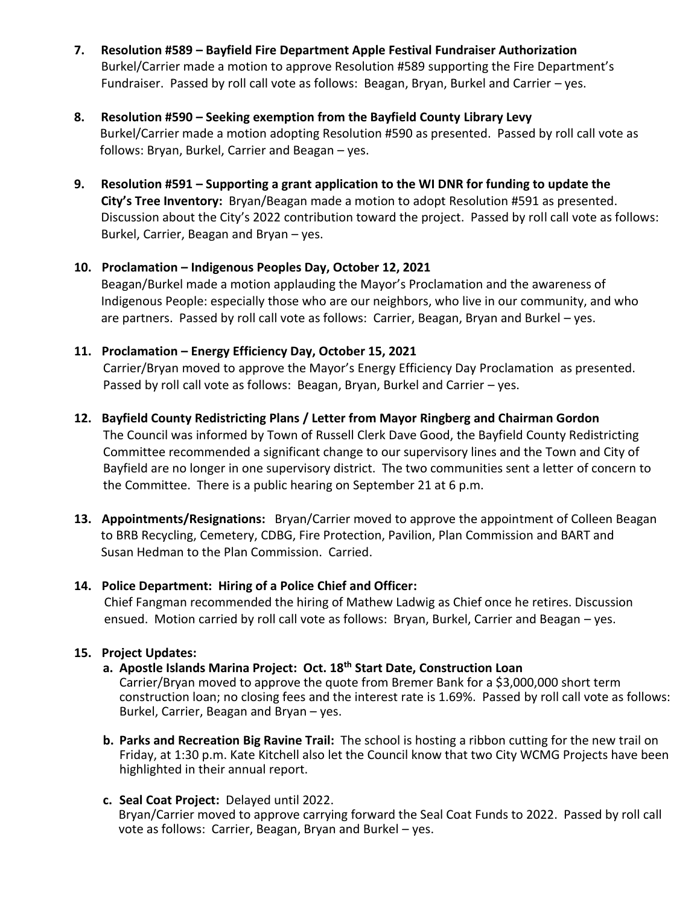- **7. Resolution #589 – Bayfield Fire Department Apple Festival Fundraiser Authorization** Burkel/Carrier made a motion to approve Resolution #589 supporting the Fire Department's Fundraiser. Passed by roll call vote as follows: Beagan, Bryan, Burkel and Carrier – yes.
- **8. Resolution #590 – Seeking exemption from the Bayfield County Library Levy**  Burkel/Carrier made a motion adopting Resolution #590 as presented. Passed by roll call vote as follows: Bryan, Burkel, Carrier and Beagan – yes.
- **9. Resolution #591 – Supporting a grant application to the WI DNR for funding to update the City's Tree Inventory:** Bryan/Beagan made a motion to adopt Resolution #591 as presented. Discussion about the City's 2022 contribution toward the project. Passed by roll call vote as follows: Burkel, Carrier, Beagan and Bryan – yes.

## **10. Proclamation – Indigenous Peoples Day, October 12, 2021**

 Beagan/Burkel made a motion applauding the Mayor's Proclamation and the awareness of Indigenous People: especially those who are our neighbors, who live in our community, and who are partners. Passed by roll call vote as follows: Carrier, Beagan, Bryan and Burkel – yes.

## **11. Proclamation – Energy Efficiency Day, October 15, 2021**

 Carrier/Bryan moved to approve the Mayor's Energy Efficiency Day Proclamation as presented. Passed by roll call vote as follows: Beagan, Bryan, Burkel and Carrier – yes.

## **12. Bayfield County Redistricting Plans / Letter from Mayor Ringberg and Chairman Gordon**

 The Council was informed by Town of Russell Clerk Dave Good, the Bayfield County Redistricting Committee recommended a significant change to our supervisory lines and the Town and City of Bayfield are no longer in one supervisory district. The two communities sent a letter of concern to the Committee. There is a public hearing on September 21 at 6 p.m.

**13. Appointments/Resignations:** Bryan/Carrier moved to approve the appointment of Colleen Beagan to BRB Recycling, Cemetery, CDBG, Fire Protection, Pavilion, Plan Commission and BART and Susan Hedman to the Plan Commission. Carried.

## **14. Police Department: Hiring of a Police Chief and Officer:**

 Chief Fangman recommended the hiring of Mathew Ladwig as Chief once he retires. Discussion ensued. Motion carried by roll call vote as follows: Bryan, Burkel, Carrier and Beagan – yes.

## **15. Project Updates:**

## **a. Apostle Islands Marina Project: Oct. 18th Start Date, Construction Loan**

Carrier/Bryan moved to approve the quote from Bremer Bank for a \$3,000,000 short term construction loan; no closing fees and the interest rate is 1.69%. Passed by roll call vote as follows: Burkel, Carrier, Beagan and Bryan – yes.

**b. Parks and Recreation Big Ravine Trail:** The school is hosting a ribbon cutting for the new trail on Friday, at 1:30 p.m. Kate Kitchell also let the Council know that two City WCMG Projects have been highlighted in their annual report.

## **c. Seal Coat Project:** Delayed until 2022.

 Bryan/Carrier moved to approve carrying forward the Seal Coat Funds to 2022. Passed by roll call vote as follows: Carrier, Beagan, Bryan and Burkel – yes.